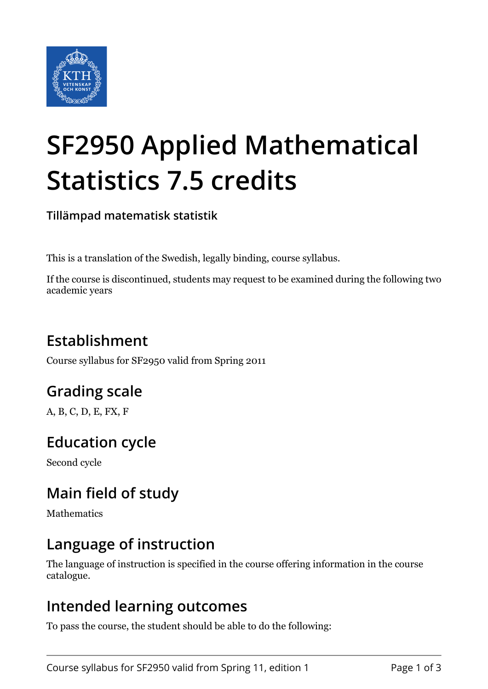

# **SF2950 Applied Mathematical Statistics 7.5 credits**

**Tillämpad matematisk statistik**

This is a translation of the Swedish, legally binding, course syllabus.

If the course is discontinued, students may request to be examined during the following two academic years

# **Establishment**

Course syllabus for SF2950 valid from Spring 2011

# **Grading scale**

A, B, C, D, E, FX, F

## **Education cycle**

Second cycle

## **Main field of study**

Mathematics

### **Language of instruction**

The language of instruction is specified in the course offering information in the course catalogue.

#### **Intended learning outcomes**

To pass the course, the student should be able to do the following: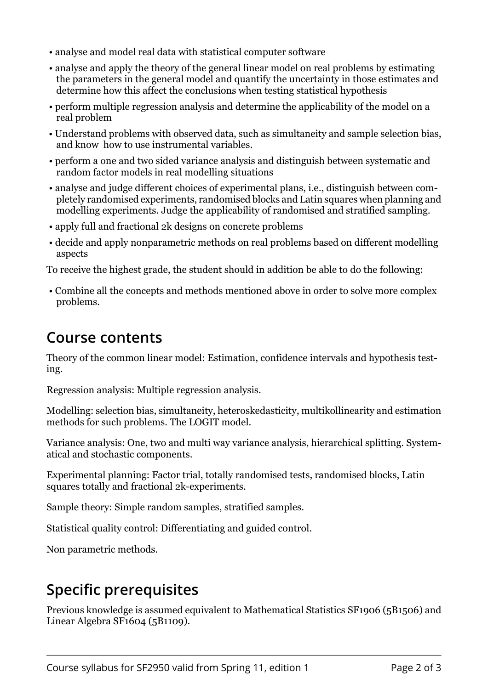- analyse and model real data with statistical computer software
- analyse and apply the theory of the general linear model on real problems by estimating the parameters in the general model and quantify the uncertainty in those estimates and determine how this affect the conclusions when testing statistical hypothesis
- perform multiple regression analysis and determine the applicability of the model on a real problem
- Understand problems with observed data, such as simultaneity and sample selection bias, and know how to use instrumental variables.
- perform a one and two sided variance analysis and distinguish between systematic and random factor models in real modelling situations
- analyse and judge different choices of experimental plans, i.e., distinguish between completely randomised experiments, randomised blocks and Latin squares when planning and modelling experiments. Judge the applicability of randomised and stratified sampling.
- apply full and fractional 2k designs on concrete problems
- decide and apply nonparametric methods on real problems based on different modelling aspects

To receive the highest grade, the student should in addition be able to do the following:

 • Combine all the concepts and methods mentioned above in order to solve more complex problems.

#### **Course contents**

Theory of the common linear model: Estimation, confidence intervals and hypothesis testing.

Regression analysis: Multiple regression analysis.

Modelling: selection bias, simultaneity, heteroskedasticity, multikollinearity and estimation methods for such problems. The LOGIT model.

Variance analysis: One, two and multi way variance analysis, hierarchical splitting. Systematical and stochastic components.

Experimental planning: Factor trial, totally randomised tests, randomised blocks, Latin squares totally and fractional 2k-experiments.

Sample theory: Simple random samples, stratified samples.

Statistical quality control: Differentiating and guided control.

Non parametric methods.

## **Specific prerequisites**

Previous knowledge is assumed equivalent to Mathematical Statistics SF1906 (5B1506) and Linear Algebra SF1604 (5B1109).